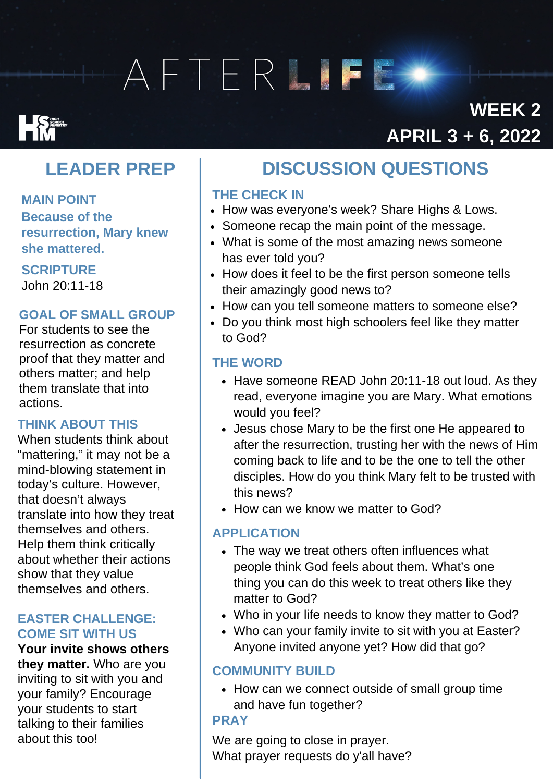# AFTERLIFE

## **Expanding Services**

### **WEEK 2 APRIL 3 + 6, 2022**

### **LEADER PREP**

**MAIN POINT Because of the resurrection, Mary knew she mattered.**

### **SCRIPTURE**

John 20:11-18

### **GOAL OF SMALL GROUP**

For students to see the resurrection as concrete proof that they matter and others matter; and help them translate that into actions.

### **THINK ABOUT THIS**

When students think about "mattering," it may not be a mind-blowing statement in today's culture. However, that doesn't always translate into how they treat themselves and others. Help them think critically about whether their actions show that they value themselves and others.

#### **EASTER CHALLENGE: COME SIT WITH US**

**Your invite shows others they matter.** Who are you inviting to sit with you and your family? Encourage your students to start talking to their families about this too!

### DISCUSSION QUESTIONS **DISCUSSIONQUESTIONS**

### **THE CHECK IN**

- How was everyone's week? Share Highs & Lows.
- Someone recap the main point of the message.
- What is some of the most amazing news someone has ever told you?
- How does it feel to be the first person someone tells their amazingly good news to?
- How can you tell someone matters to someone else?
- Do you think most high schoolers feel like they matter to God?

### **THE WORD**

- Have someone READ John 20:11-18 out loud. As they read, everyone imagine you are Mary. What emotions would you feel?
- Jesus chose Mary to be the first one He appeared to after the resurrection, trusting her with the news of Him coming back to life and to be the one to tell the other disciples. How do you think Mary felt to be trusted with this news?
- How can we know we matter to God?

### **APPLICATION**

- The way we treat others often influences what people think God feels about them. What's one thing you can do this week to treat others like they matter to God?
- Who in your life needs to know they matter to God?
- Who can your family invite to sit with you at Easter? Anyone invited anyone yet? How did that go?

### **COMMUNITY BUILD**

• How can we connect outside of small group time and have fun together?

### **PRAY**

We are going to close in prayer. What prayer requests do y'all have?